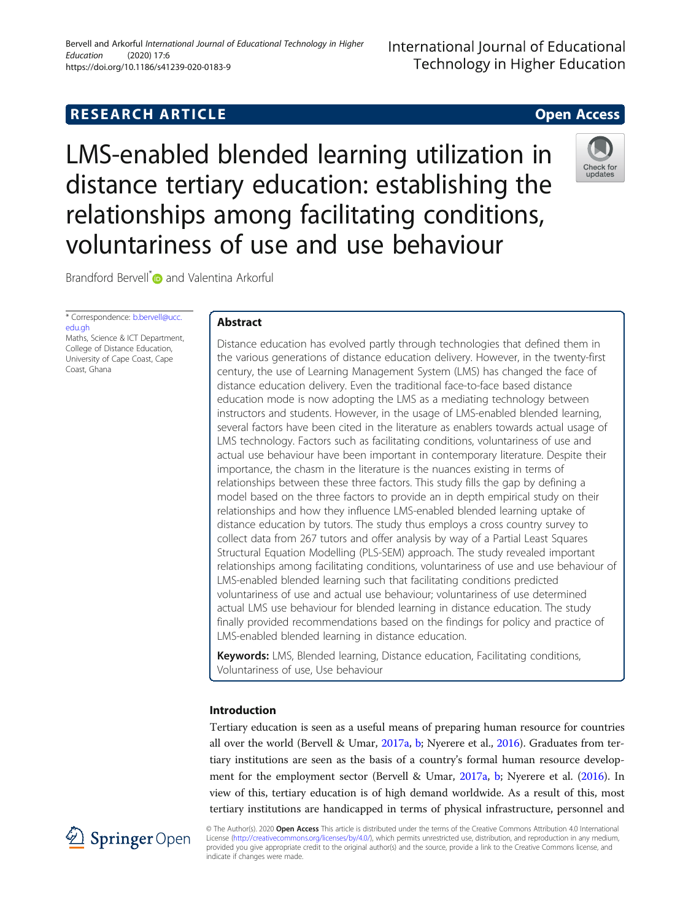# International lournal of Educational Technology in Higher Education

# **RESEARCH ARTICLE Example 2014 12:30 The SEAR CH ACCESS**

Check for update

LMS-enabled blended learning utilization in distance tertiary education: establishing the relationships among facilitating conditions, voluntariness of use and use behaviour

Brandford Bervell<sup>[\\*](http://orcid.org/0000-0002-3925-6877)</sup> and Valentina Arkorful

\* Correspondence: [b.bervell@ucc.](mailto:b.bervell@ucc.edu.gh) [edu.gh](mailto:b.bervell@ucc.edu.gh) Maths, Science & ICT Department, College of Distance Education, University of Cape Coast, Cape

Coast, Ghana

# Abstract

Distance education has evolved partly through technologies that defined them in the various generations of distance education delivery. However, in the twenty-first century, the use of Learning Management System (LMS) has changed the face of distance education delivery. Even the traditional face-to-face based distance education mode is now adopting the LMS as a mediating technology between instructors and students. However, in the usage of LMS-enabled blended learning, several factors have been cited in the literature as enablers towards actual usage of LMS technology. Factors such as facilitating conditions, voluntariness of use and actual use behaviour have been important in contemporary literature. Despite their importance, the chasm in the literature is the nuances existing in terms of relationships between these three factors. This study fills the gap by defining a model based on the three factors to provide an in depth empirical study on their relationships and how they influence LMS-enabled blended learning uptake of distance education by tutors. The study thus employs a cross country survey to collect data from 267 tutors and offer analysis by way of a Partial Least Squares Structural Equation Modelling (PLS-SEM) approach. The study revealed important relationships among facilitating conditions, voluntariness of use and use behaviour of LMS-enabled blended learning such that facilitating conditions predicted voluntariness of use and actual use behaviour; voluntariness of use determined actual LMS use behaviour for blended learning in distance education. The study finally provided recommendations based on the findings for policy and practice of LMS-enabled blended learning in distance education.

Keywords: LMS, Blended learning, Distance education, Facilitating conditions, Voluntariness of use, Use behaviour

# Introduction

Tertiary education is seen as a useful means of preparing human resource for countries all over the world (Bervell & Umar, [2017a,](#page-14-0) [b](#page-14-0); Nyerere et al., [2016](#page-15-0)). Graduates from tertiary institutions are seen as the basis of a country's formal human resource development for the employment sector (Bervell & Umar, [2017a](#page-14-0), [b](#page-14-0); Nyerere et al. [\(2016\)](#page-15-0). In view of this, tertiary education is of high demand worldwide. As a result of this, most tertiary institutions are handicapped in terms of physical infrastructure, personnel and



© The Author(s). 2020 Open Access This article is distributed under the terms of the Creative Commons Attribution 4.0 International License [\(http://creativecommons.org/licenses/by/4.0/](http://creativecommons.org/licenses/by/4.0/)), which permits unrestricted use, distribution, and reproduction in any medium, provided you give appropriate credit to the original author(s) and the source, provide a link to the Creative Commons license, and indicate if changes were made.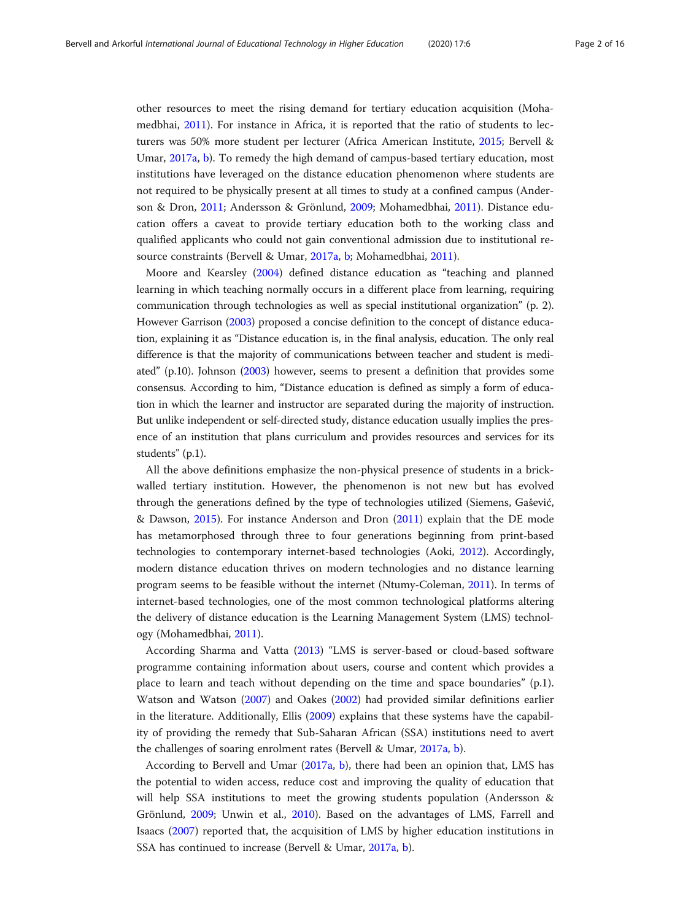other resources to meet the rising demand for tertiary education acquisition (Mohamedbhai, [2011](#page-15-0)). For instance in Africa, it is reported that the ratio of students to lecturers was 50% more student per lecturer (Africa American Institute, [2015;](#page-14-0) Bervell & Umar, [2017a](#page-14-0), [b](#page-14-0)). To remedy the high demand of campus-based tertiary education, most institutions have leveraged on the distance education phenomenon where students are not required to be physically present at all times to study at a confined campus (Anderson & Dron, [2011;](#page-14-0) Andersson & Grönlund, [2009;](#page-14-0) Mohamedbhai, [2011\)](#page-15-0). Distance education offers a caveat to provide tertiary education both to the working class and qualified applicants who could not gain conventional admission due to institutional resource constraints (Bervell & Umar, [2017a,](#page-14-0) [b;](#page-14-0) Mohamedbhai, [2011\)](#page-15-0).

Moore and Kearsley [\(2004\)](#page-15-0) defined distance education as "teaching and planned learning in which teaching normally occurs in a different place from learning, requiring communication through technologies as well as special institutional organization" (p. 2). However Garrison ([2003\)](#page-14-0) proposed a concise definition to the concept of distance education, explaining it as "Distance education is, in the final analysis, education. The only real difference is that the majority of communications between teacher and student is mediated" (p.10). Johnson [\(2003](#page-15-0)) however, seems to present a definition that provides some consensus. According to him, "Distance education is defined as simply a form of education in which the learner and instructor are separated during the majority of instruction. But unlike independent or self-directed study, distance education usually implies the presence of an institution that plans curriculum and provides resources and services for its students" (p.1).

All the above definitions emphasize the non-physical presence of students in a brickwalled tertiary institution. However, the phenomenon is not new but has evolved through the generations defined by the type of technologies utilized (Siemens, Gašević, & Dawson, [2015\)](#page-15-0). For instance Anderson and Dron ([2011\)](#page-14-0) explain that the DE mode has metamorphosed through three to four generations beginning from print-based technologies to contemporary internet-based technologies (Aoki, [2012](#page-14-0)). Accordingly, modern distance education thrives on modern technologies and no distance learning program seems to be feasible without the internet (Ntumy-Coleman, [2011](#page-15-0)). In terms of internet-based technologies, one of the most common technological platforms altering the delivery of distance education is the Learning Management System (LMS) technology (Mohamedbhai, [2011\)](#page-15-0).

According Sharma and Vatta [\(2013\)](#page-15-0) "LMS is server-based or cloud-based software programme containing information about users, course and content which provides a place to learn and teach without depending on the time and space boundaries" (p.1). Watson and Watson ([2007\)](#page-15-0) and Oakes ([2002](#page-15-0)) had provided similar definitions earlier in the literature. Additionally, Ellis ([2009](#page-14-0)) explains that these systems have the capability of providing the remedy that Sub-Saharan African (SSA) institutions need to avert the challenges of soaring enrolment rates (Bervell & Umar, [2017a](#page-14-0), [b](#page-14-0)).

According to Bervell and Umar ([2017a,](#page-14-0) [b](#page-14-0)), there had been an opinion that, LMS has the potential to widen access, reduce cost and improving the quality of education that will help SSA institutions to meet the growing students population (Andersson & Grönlund, [2009](#page-14-0); Unwin et al., [2010](#page-15-0)). Based on the advantages of LMS, Farrell and Isaacs [\(2007](#page-14-0)) reported that, the acquisition of LMS by higher education institutions in SSA has continued to increase (Bervell & Umar, [2017a,](#page-14-0) [b](#page-14-0)).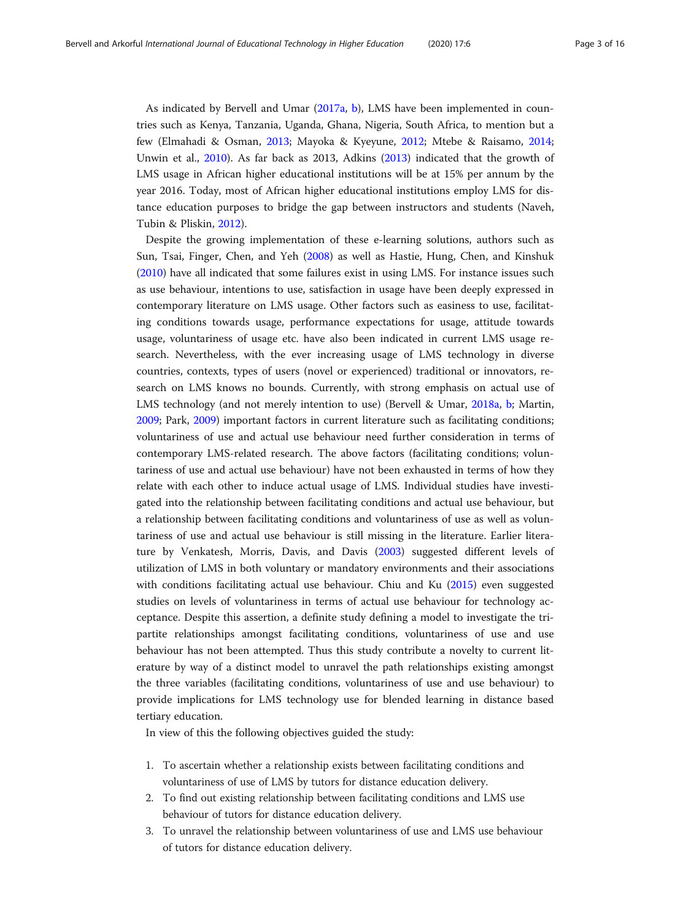As indicated by Bervell and Umar ([2017a,](#page-14-0) [b](#page-14-0)), LMS have been implemented in countries such as Kenya, Tanzania, Uganda, Ghana, Nigeria, South Africa, to mention but a few (Elmahadi & Osman, [2013](#page-14-0); Mayoka & Kyeyune, [2012;](#page-15-0) Mtebe & Raisamo, [2014](#page-15-0); Unwin et al., [2010\)](#page-15-0). As far back as 2013, Adkins ([2013](#page-14-0)) indicated that the growth of LMS usage in African higher educational institutions will be at 15% per annum by the year 2016. Today, most of African higher educational institutions employ LMS for distance education purposes to bridge the gap between instructors and students (Naveh, Tubin & Pliskin, [2012\)](#page-15-0).

Despite the growing implementation of these e-learning solutions, authors such as Sun, Tsai, Finger, Chen, and Yeh ([2008](#page-15-0)) as well as Hastie, Hung, Chen, and Kinshuk ([2010](#page-15-0)) have all indicated that some failures exist in using LMS. For instance issues such as use behaviour, intentions to use, satisfaction in usage have been deeply expressed in contemporary literature on LMS usage. Other factors such as easiness to use, facilitating conditions towards usage, performance expectations for usage, attitude towards usage, voluntariness of usage etc. have also been indicated in current LMS usage research. Nevertheless, with the ever increasing usage of LMS technology in diverse countries, contexts, types of users (novel or experienced) traditional or innovators, research on LMS knows no bounds. Currently, with strong emphasis on actual use of LMS technology (and not merely intention to use) (Bervell & Umar, [2018a,](#page-14-0) [b](#page-14-0); Martin, [2009](#page-15-0); Park, [2009](#page-15-0)) important factors in current literature such as facilitating conditions; voluntariness of use and actual use behaviour need further consideration in terms of contemporary LMS-related research. The above factors (facilitating conditions; voluntariness of use and actual use behaviour) have not been exhausted in terms of how they relate with each other to induce actual usage of LMS. Individual studies have investigated into the relationship between facilitating conditions and actual use behaviour, but a relationship between facilitating conditions and voluntariness of use as well as voluntariness of use and actual use behaviour is still missing in the literature. Earlier literature by Venkatesh, Morris, Davis, and Davis [\(2003\)](#page-15-0) suggested different levels of utilization of LMS in both voluntary or mandatory environments and their associations with conditions facilitating actual use behaviour. Chiu and Ku [\(2015](#page-14-0)) even suggested studies on levels of voluntariness in terms of actual use behaviour for technology acceptance. Despite this assertion, a definite study defining a model to investigate the tripartite relationships amongst facilitating conditions, voluntariness of use and use behaviour has not been attempted. Thus this study contribute a novelty to current literature by way of a distinct model to unravel the path relationships existing amongst the three variables (facilitating conditions, voluntariness of use and use behaviour) to provide implications for LMS technology use for blended learning in distance based tertiary education.

In view of this the following objectives guided the study:

- 1. To ascertain whether a relationship exists between facilitating conditions and voluntariness of use of LMS by tutors for distance education delivery.
- 2. To find out existing relationship between facilitating conditions and LMS use behaviour of tutors for distance education delivery.
- 3. To unravel the relationship between voluntariness of use and LMS use behaviour of tutors for distance education delivery.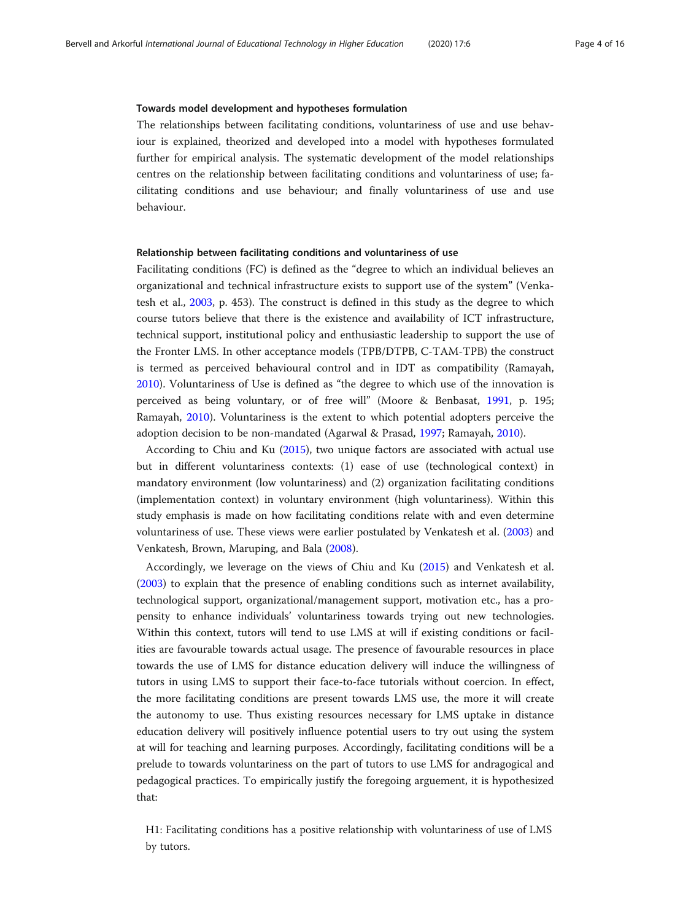#### Towards model development and hypotheses formulation

The relationships between facilitating conditions, voluntariness of use and use behaviour is explained, theorized and developed into a model with hypotheses formulated further for empirical analysis. The systematic development of the model relationships centres on the relationship between facilitating conditions and voluntariness of use; facilitating conditions and use behaviour; and finally voluntariness of use and use behaviour.

## Relationship between facilitating conditions and voluntariness of use

Facilitating conditions (FC) is defined as the "degree to which an individual believes an organizational and technical infrastructure exists to support use of the system" (Venkatesh et al., [2003](#page-15-0), p. 453). The construct is defined in this study as the degree to which course tutors believe that there is the existence and availability of ICT infrastructure, technical support, institutional policy and enthusiastic leadership to support the use of the Fronter LMS. In other acceptance models (TPB/DTPB, C-TAM-TPB) the construct is termed as perceived behavioural control and in IDT as compatibility (Ramayah, [2010](#page-15-0)). Voluntariness of Use is defined as "the degree to which use of the innovation is perceived as being voluntary, or of free will" (Moore & Benbasat, [1991](#page-15-0), p. 195; Ramayah, [2010\)](#page-15-0). Voluntariness is the extent to which potential adopters perceive the adoption decision to be non-mandated (Agarwal & Prasad, [1997](#page-14-0); Ramayah, [2010](#page-15-0)).

According to Chiu and Ku [\(2015\)](#page-14-0), two unique factors are associated with actual use but in different voluntariness contexts: (1) ease of use (technological context) in mandatory environment (low voluntariness) and (2) organization facilitating conditions (implementation context) in voluntary environment (high voluntariness). Within this study emphasis is made on how facilitating conditions relate with and even determine voluntariness of use. These views were earlier postulated by Venkatesh et al. ([2003](#page-15-0)) and Venkatesh, Brown, Maruping, and Bala ([2008\)](#page-15-0).

Accordingly, we leverage on the views of Chiu and Ku ([2015](#page-14-0)) and Venkatesh et al. ([2003](#page-15-0)) to explain that the presence of enabling conditions such as internet availability, technological support, organizational/management support, motivation etc., has a propensity to enhance individuals' voluntariness towards trying out new technologies. Within this context, tutors will tend to use LMS at will if existing conditions or facilities are favourable towards actual usage. The presence of favourable resources in place towards the use of LMS for distance education delivery will induce the willingness of tutors in using LMS to support their face-to-face tutorials without coercion. In effect, the more facilitating conditions are present towards LMS use, the more it will create the autonomy to use. Thus existing resources necessary for LMS uptake in distance education delivery will positively influence potential users to try out using the system at will for teaching and learning purposes. Accordingly, facilitating conditions will be a prelude to towards voluntariness on the part of tutors to use LMS for andragogical and pedagogical practices. To empirically justify the foregoing arguement, it is hypothesized that:

H1: Facilitating conditions has a positive relationship with voluntariness of use of LMS by tutors.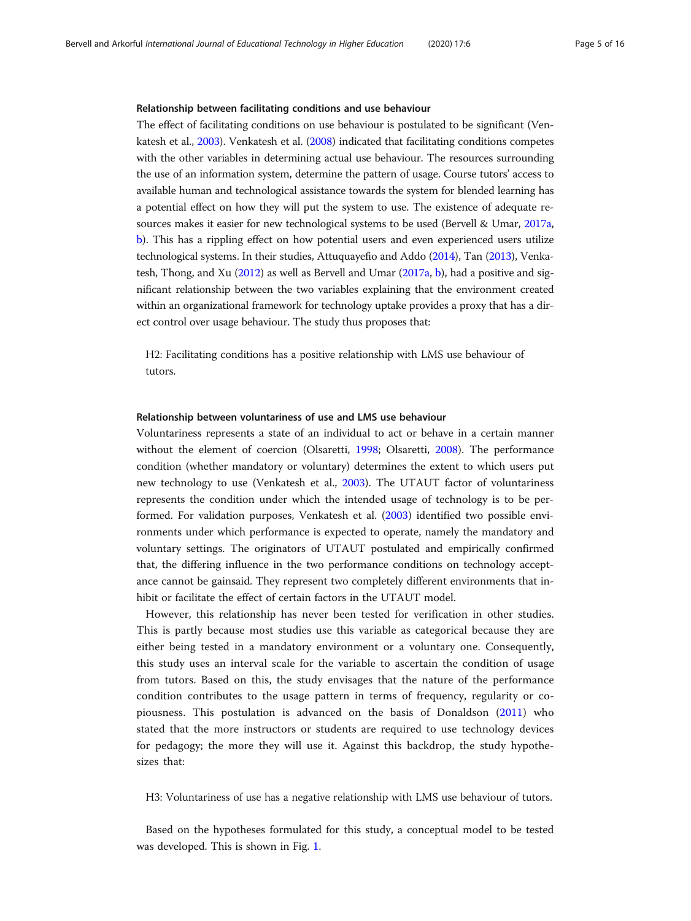#### Relationship between facilitating conditions and use behaviour

The effect of facilitating conditions on use behaviour is postulated to be significant (Venkatesh et al., [2003](#page-15-0)). Venkatesh et al. [\(2008](#page-15-0)) indicated that facilitating conditions competes with the other variables in determining actual use behaviour. The resources surrounding the use of an information system, determine the pattern of usage. Course tutors' access to available human and technological assistance towards the system for blended learning has a potential effect on how they will put the system to use. The existence of adequate resources makes it easier for new technological systems to be used (Bervell & Umar, [2017a](#page-14-0), [b\)](#page-14-0). This has a rippling effect on how potential users and even experienced users utilize technological systems. In their studies, Attuquayefio and Addo ([2014](#page-14-0)), Tan ([2013\)](#page-15-0), Venkatesh, Thong, and Xu [\(2012\)](#page-15-0) as well as Bervell and Umar ([2017a](#page-14-0), [b](#page-14-0)), had a positive and significant relationship between the two variables explaining that the environment created within an organizational framework for technology uptake provides a proxy that has a direct control over usage behaviour. The study thus proposes that:

H2: Facilitating conditions has a positive relationship with LMS use behaviour of tutors.

## Relationship between voluntariness of use and LMS use behaviour

Voluntariness represents a state of an individual to act or behave in a certain manner without the element of coercion (Olsaretti, [1998](#page-15-0); Olsaretti, [2008\)](#page-15-0). The performance condition (whether mandatory or voluntary) determines the extent to which users put new technology to use (Venkatesh et al., [2003\)](#page-15-0). The UTAUT factor of voluntariness represents the condition under which the intended usage of technology is to be performed. For validation purposes, Venkatesh et al. [\(2003\)](#page-15-0) identified two possible environments under which performance is expected to operate, namely the mandatory and voluntary settings. The originators of UTAUT postulated and empirically confirmed that, the differing influence in the two performance conditions on technology acceptance cannot be gainsaid. They represent two completely different environments that inhibit or facilitate the effect of certain factors in the UTAUT model.

However, this relationship has never been tested for verification in other studies. This is partly because most studies use this variable as categorical because they are either being tested in a mandatory environment or a voluntary one. Consequently, this study uses an interval scale for the variable to ascertain the condition of usage from tutors. Based on this, the study envisages that the nature of the performance condition contributes to the usage pattern in terms of frequency, regularity or copiousness. This postulation is advanced on the basis of Donaldson ([2011\)](#page-14-0) who stated that the more instructors or students are required to use technology devices for pedagogy; the more they will use it. Against this backdrop, the study hypothesizes that:

H3: Voluntariness of use has a negative relationship with LMS use behaviour of tutors.

Based on the hypotheses formulated for this study, a conceptual model to be tested was developed. This is shown in Fig. [1.](#page-5-0)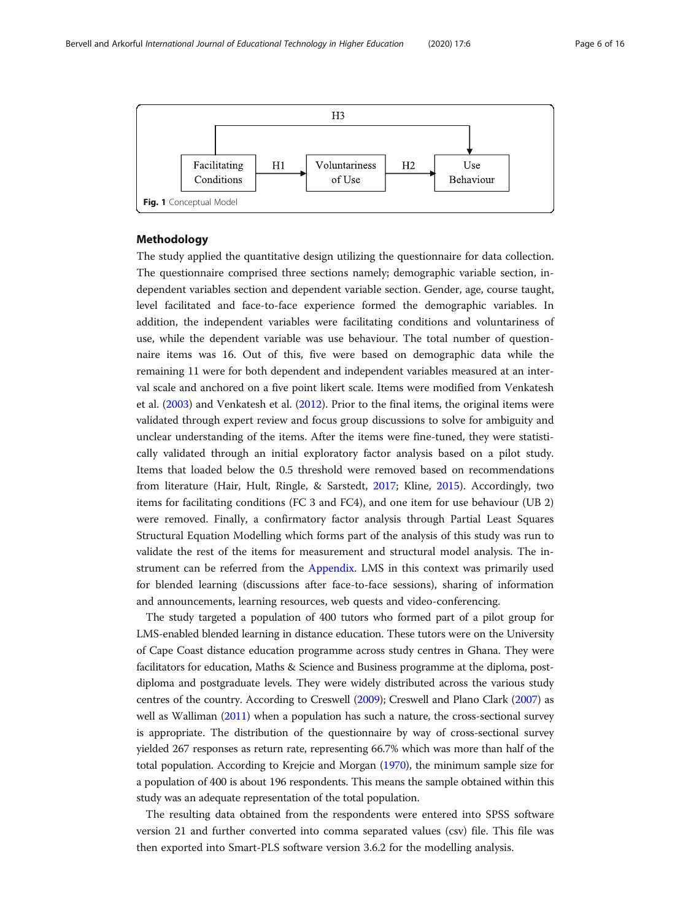<span id="page-5-0"></span>

## Methodology

The study applied the quantitative design utilizing the questionnaire for data collection. The questionnaire comprised three sections namely; demographic variable section, independent variables section and dependent variable section. Gender, age, course taught, level facilitated and face-to-face experience formed the demographic variables. In addition, the independent variables were facilitating conditions and voluntariness of use, while the dependent variable was use behaviour. The total number of questionnaire items was 16. Out of this, five were based on demographic data while the remaining 11 were for both dependent and independent variables measured at an interval scale and anchored on a five point likert scale. Items were modified from Venkatesh et al. [\(2003\)](#page-15-0) and Venkatesh et al. ([2012](#page-15-0)). Prior to the final items, the original items were validated through expert review and focus group discussions to solve for ambiguity and unclear understanding of the items. After the items were fine-tuned, they were statistically validated through an initial exploratory factor analysis based on a pilot study. Items that loaded below the 0.5 threshold were removed based on recommendations from literature (Hair, Hult, Ringle, & Sarstedt, [2017](#page-14-0); Kline, [2015](#page-15-0)). Accordingly, two items for facilitating conditions (FC 3 and FC4), and one item for use behaviour (UB 2) were removed. Finally, a confirmatory factor analysis through Partial Least Squares Structural Equation Modelling which forms part of the analysis of this study was run to validate the rest of the items for measurement and structural model analysis. The instrument can be referred from the [Appendix.](#page-13-0) LMS in this context was primarily used for blended learning (discussions after face-to-face sessions), sharing of information and announcements, learning resources, web quests and video-conferencing.

The study targeted a population of 400 tutors who formed part of a pilot group for LMS-enabled blended learning in distance education. These tutors were on the University of Cape Coast distance education programme across study centres in Ghana. They were facilitators for education, Maths & Science and Business programme at the diploma, postdiploma and postgraduate levels. They were widely distributed across the various study centres of the country. According to Creswell [\(2009](#page-14-0)); Creswell and Plano Clark [\(2007](#page-14-0)) as well as Walliman [\(2011\)](#page-15-0) when a population has such a nature, the cross-sectional survey is appropriate. The distribution of the questionnaire by way of cross-sectional survey yielded 267 responses as return rate, representing 66.7% which was more than half of the total population. According to Krejcie and Morgan ([1970\)](#page-15-0), the minimum sample size for a population of 400 is about 196 respondents. This means the sample obtained within this study was an adequate representation of the total population.

The resulting data obtained from the respondents were entered into SPSS software version 21 and further converted into comma separated values (csv) file. This file was then exported into Smart-PLS software version 3.6.2 for the modelling analysis.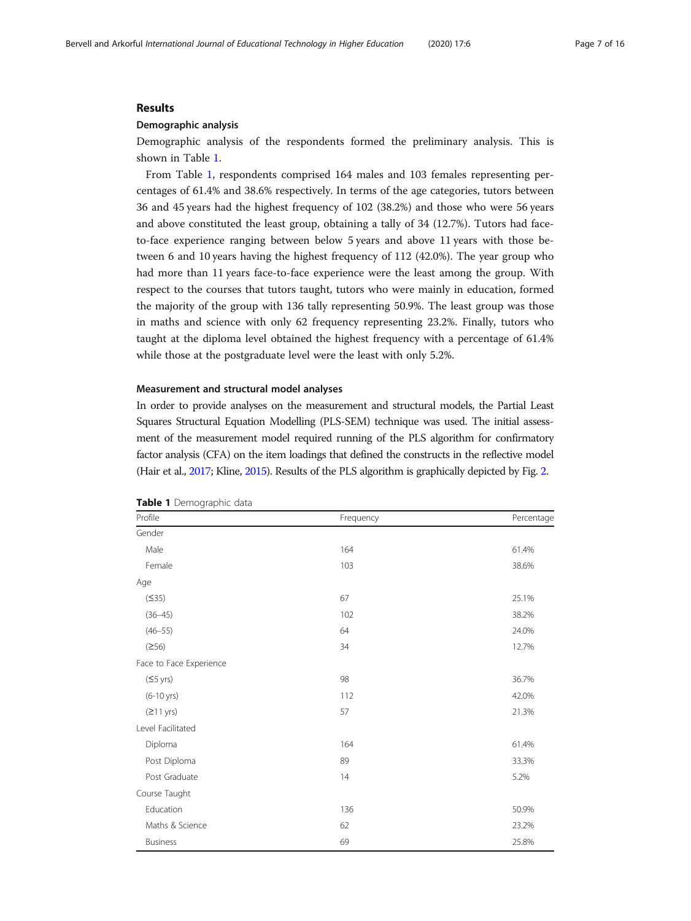#### Results

### Demographic analysis

Demographic analysis of the respondents formed the preliminary analysis. This is shown in Table 1.

From Table 1, respondents comprised 164 males and 103 females representing percentages of 61.4% and 38.6% respectively. In terms of the age categories, tutors between 36 and 45 years had the highest frequency of 102 (38.2%) and those who were 56 years and above constituted the least group, obtaining a tally of 34 (12.7%). Tutors had faceto-face experience ranging between below 5 years and above 11 years with those between 6 and 10 years having the highest frequency of 112 (42.0%). The year group who had more than 11 years face-to-face experience were the least among the group. With respect to the courses that tutors taught, tutors who were mainly in education, formed the majority of the group with 136 tally representing 50.9%. The least group was those in maths and science with only 62 frequency representing 23.2%. Finally, tutors who taught at the diploma level obtained the highest frequency with a percentage of 61.4% while those at the postgraduate level were the least with only 5.2%.

#### Measurement and structural model analyses

In order to provide analyses on the measurement and structural models, the Partial Least Squares Structural Equation Modelling (PLS-SEM) technique was used. The initial assessment of the measurement model required running of the PLS algorithm for confirmatory factor analysis (CFA) on the item loadings that defined the constructs in the reflective model (Hair et al., [2017;](#page-14-0) Kline, [2015\)](#page-15-0). Results of the PLS algorithm is graphically depicted by Fig. [2.](#page-7-0)

| Profile                 | Frequency | Percentage |
|-------------------------|-----------|------------|
| Gender                  |           |            |
| Male                    | 164       | 61.4%      |
| Female                  | 103       | 38.6%      |
| Age                     |           |            |
| (535)                   | 67        | 25.1%      |
| $(36 - 45)$             | 102       | 38.2%      |
| $(46 - 55)$             | 64        | 24.0%      |
| (256)                   | 34        | 12.7%      |
| Face to Face Experience |           |            |
| $(55 \, yrs)$           | 98        | 36.7%      |
| $(6 - 10 \text{ yrs})$  | 112       | 42.0%      |
| $(211 \text{ yrs})$     | 57        | 21.3%      |
| Level Facilitated       |           |            |
| Diploma                 | 164       | 61.4%      |
| Post Diploma            | 89        | 33.3%      |
| Post Graduate           | 14        | 5.2%       |
| Course Taught           |           |            |
| Education               | 136       | 50.9%      |
| Maths & Science         | 62        | 23.2%      |
| <b>Business</b>         | 69        | 25.8%      |

Table 1 Demographic data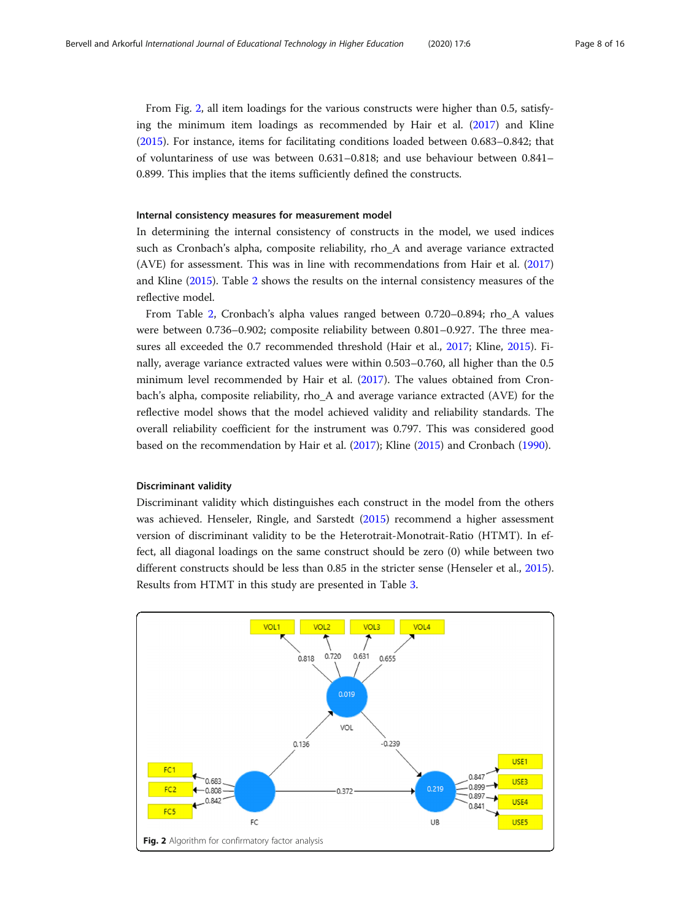<span id="page-7-0"></span>From Fig. 2, all item loadings for the various constructs were higher than 0.5, satisfying the minimum item loadings as recommended by Hair et al. ([2017](#page-14-0)) and Kline ([2015](#page-15-0)). For instance, items for facilitating conditions loaded between 0.683–0.842; that of voluntariness of use was between 0.631–0.818; and use behaviour between 0.841– 0.899. This implies that the items sufficiently defined the constructs.

## Internal consistency measures for measurement model

In determining the internal consistency of constructs in the model, we used indices such as Cronbach's alpha, composite reliability, rho\_A and average variance extracted (AVE) for assessment. This was in line with recommendations from Hair et al. ([2017](#page-14-0)) and Kline [\(2015](#page-15-0)). Table [2](#page-8-0) shows the results on the internal consistency measures of the reflective model.

From Table [2](#page-8-0), Cronbach's alpha values ranged between 0.720–0.894; rho\_A values were between 0.736–0.902; composite reliability between 0.801–0.927. The three measures all exceeded the 0.7 recommended threshold (Hair et al., [2017](#page-14-0); Kline, [2015](#page-15-0)). Finally, average variance extracted values were within 0.503–0.760, all higher than the 0.5 minimum level recommended by Hair et al. [\(2017\)](#page-14-0). The values obtained from Cronbach's alpha, composite reliability, rho\_A and average variance extracted (AVE) for the reflective model shows that the model achieved validity and reliability standards. The overall reliability coefficient for the instrument was 0.797. This was considered good based on the recommendation by Hair et al. ([2017](#page-14-0)); Kline [\(2015\)](#page-15-0) and Cronbach [\(1990\)](#page-14-0).

## Discriminant validity

Discriminant validity which distinguishes each construct in the model from the others was achieved. Henseler, Ringle, and Sarstedt [\(2015\)](#page-15-0) recommend a higher assessment version of discriminant validity to be the Heterotrait-Monotrait-Ratio (HTMT). In effect, all diagonal loadings on the same construct should be zero (0) while between two different constructs should be less than 0.85 in the stricter sense (Henseler et al., [2015](#page-15-0)). Results from HTMT in this study are presented in Table [3](#page-8-0).

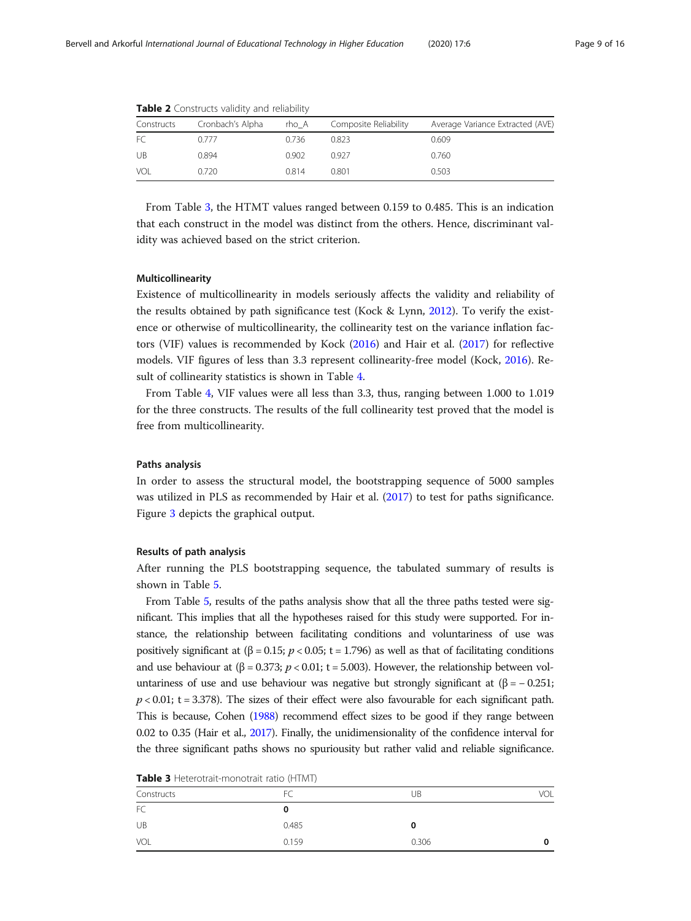| Constructs | Cronbach's Alpha | rho A | Composite Reliability | Average Variance Extracted (AVE) |
|------------|------------------|-------|-----------------------|----------------------------------|
| FС         | 0.777            | 0.736 | 0.823                 | 0.609                            |
| UB         | 0.894            | 0.902 | 0927                  | 0.760                            |
| VOL.       | 0.720            | 0.814 | 0.801                 | 0.503                            |

<span id="page-8-0"></span>Table 2 Constructs validity and reliability

From Table 3, the HTMT values ranged between 0.159 to 0.485. This is an indication that each construct in the model was distinct from the others. Hence, discriminant validity was achieved based on the strict criterion.

## Multicollinearity

Existence of multicollinearity in models seriously affects the validity and reliability of the results obtained by path significance test (Kock & Lynn, [2012\)](#page-15-0). To verify the existence or otherwise of multicollinearity, the collinearity test on the variance inflation factors (VIF) values is recommended by Kock [\(2016\)](#page-15-0) and Hair et al. ([2017](#page-14-0)) for reflective models. VIF figures of less than 3.3 represent collinearity-free model (Kock, [2016\)](#page-15-0). Result of collinearity statistics is shown in Table [4.](#page-9-0)

From Table [4,](#page-9-0) VIF values were all less than 3.3, thus, ranging between 1.000 to 1.019 for the three constructs. The results of the full collinearity test proved that the model is free from multicollinearity.

## Paths analysis

In order to assess the structural model, the bootstrapping sequence of 5000 samples was utilized in PLS as recommended by Hair et al. ([2017\)](#page-14-0) to test for paths significance. Figure [3](#page-9-0) depicts the graphical output.

#### Results of path analysis

After running the PLS bootstrapping sequence, the tabulated summary of results is shown in Table [5.](#page-10-0)

From Table [5](#page-10-0), results of the paths analysis show that all the three paths tested were significant. This implies that all the hypotheses raised for this study were supported. For instance, the relationship between facilitating conditions and voluntariness of use was positively significant at ( $\beta$  = 0.15; p < 0.05; t = 1.796) as well as that of facilitating conditions and use behaviour at  $(\beta = 0.373; p < 0.01; t = 5.003)$ . However, the relationship between voluntariness of use and use behaviour was negative but strongly significant at (β =  $-$  0.251;  $p < 0.01$ ; t = 3.378). The sizes of their effect were also favourable for each significant path. This is because, Cohen [\(1988\)](#page-14-0) recommend effect sizes to be good if they range between 0.02 to 0.35 (Hair et al., [2017](#page-14-0)). Finally, the unidimensionality of the confidence interval for the three significant paths shows no spuriousity but rather valid and reliable significance.

| <b>Table 3</b> Heterotrait-monotrait ratio (HTMT) |       |       |     |  |
|---------------------------------------------------|-------|-------|-----|--|
| Constructs                                        |       | UB    | VOL |  |
| FC.                                               |       |       |     |  |
| UB                                                | 0.485 |       |     |  |
| <b>VOL</b>                                        | 0.159 | 0.306 |     |  |

Table 3 Heterotrait-monotrait ratio (HTMT)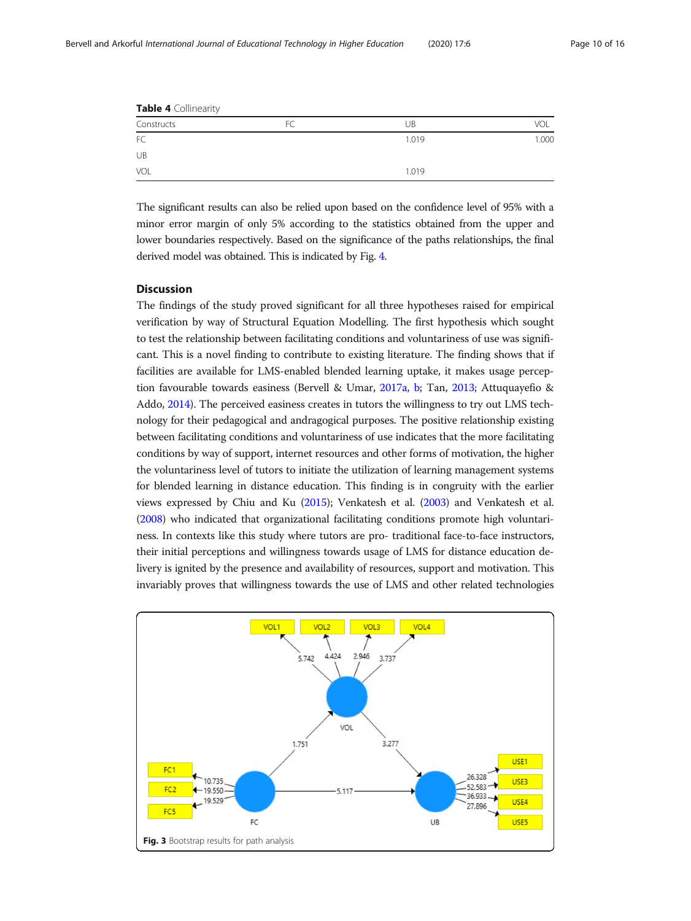| Constructs | FC | UB    | VOL   |  |
|------------|----|-------|-------|--|
| FC         |    | 1.019 | 1.000 |  |
| UB         |    |       |       |  |
| VOL        |    | 1.019 |       |  |

<span id="page-9-0"></span>Table 4 Collinearity

The significant results can also be relied upon based on the confidence level of 95% with a minor error margin of only 5% according to the statistics obtained from the upper and lower boundaries respectively. Based on the significance of the paths relationships, the final derived model was obtained. This is indicated by Fig. [4](#page-10-0).

## **Discussion**

The findings of the study proved significant for all three hypotheses raised for empirical verification by way of Structural Equation Modelling. The first hypothesis which sought to test the relationship between facilitating conditions and voluntariness of use was significant. This is a novel finding to contribute to existing literature. The finding shows that if facilities are available for LMS-enabled blended learning uptake, it makes usage perception favourable towards easiness (Bervell & Umar, [2017a](#page-14-0), [b;](#page-14-0) Tan, [2013](#page-15-0); Attuquayefio & Addo, [2014\)](#page-14-0). The perceived easiness creates in tutors the willingness to try out LMS technology for their pedagogical and andragogical purposes. The positive relationship existing between facilitating conditions and voluntariness of use indicates that the more facilitating conditions by way of support, internet resources and other forms of motivation, the higher the voluntariness level of tutors to initiate the utilization of learning management systems for blended learning in distance education. This finding is in congruity with the earlier views expressed by Chiu and Ku [\(2015\)](#page-14-0); Venkatesh et al. [\(2003](#page-15-0)) and Venkatesh et al. ([2008\)](#page-15-0) who indicated that organizational facilitating conditions promote high voluntariness. In contexts like this study where tutors are pro- traditional face-to-face instructors, their initial perceptions and willingness towards usage of LMS for distance education delivery is ignited by the presence and availability of resources, support and motivation. This invariably proves that willingness towards the use of LMS and other related technologies

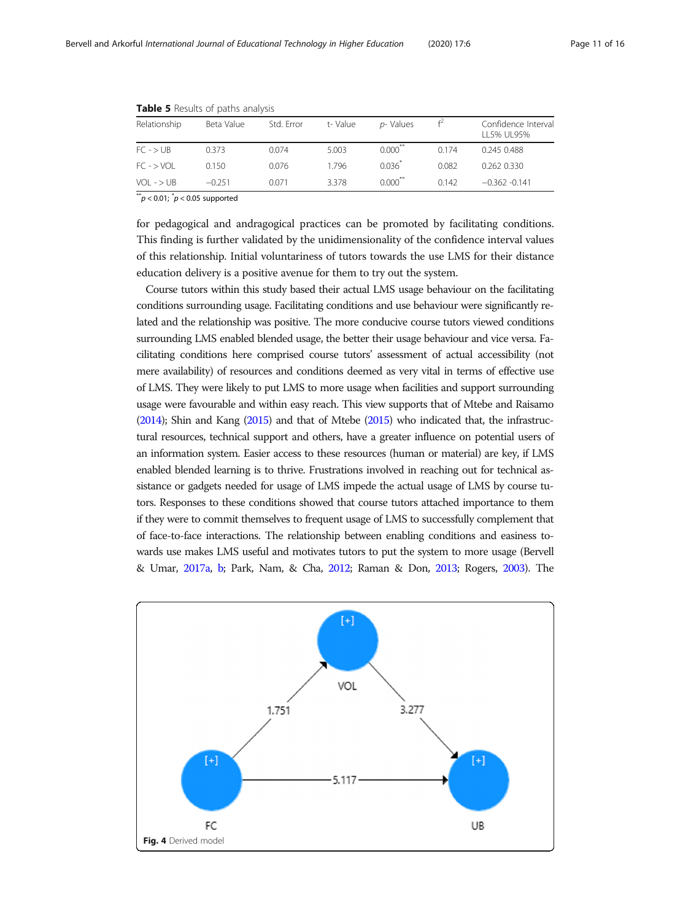| Relationship  | Beta Value | Std. Error | t-Value | <i>p</i> - Values | $f^2$ | Confidence Interval<br>LL5% UL95% |
|---------------|------------|------------|---------|-------------------|-------|-----------------------------------|
| $FC - > UB$   | 0373       | 0.074      | 5.003   | $0.000^{**}$      | 0174  | 0.245 0.488                       |
| $FC - > VOI$  | 0.150      | 0.076      | 1.796   | $0.036^{\degree}$ | 0.082 | 0.262 0.330                       |
| $VOI - > IJB$ | $-0.251$   | 0071       | 3.378   | $0.000***$        | 0.142 | $-0.362 - 0.141$                  |

<span id="page-10-0"></span>Table 5 Results of paths analysis

 $\sqrt[*]{p}$  < 0.01;  $\sqrt[*]{p}$  < 0.05 supported

for pedagogical and andragogical practices can be promoted by facilitating conditions. This finding is further validated by the unidimensionality of the confidence interval values of this relationship. Initial voluntariness of tutors towards the use LMS for their distance education delivery is a positive avenue for them to try out the system.

Course tutors within this study based their actual LMS usage behaviour on the facilitating conditions surrounding usage. Facilitating conditions and use behaviour were significantly related and the relationship was positive. The more conducive course tutors viewed conditions surrounding LMS enabled blended usage, the better their usage behaviour and vice versa. Facilitating conditions here comprised course tutors' assessment of actual accessibility (not mere availability) of resources and conditions deemed as very vital in terms of effective use of LMS. They were likely to put LMS to more usage when facilities and support surrounding usage were favourable and within easy reach. This view supports that of Mtebe and Raisamo ([2014](#page-15-0)); Shin and Kang [\(2015\)](#page-15-0) and that of Mtebe [\(2015\)](#page-15-0) who indicated that, the infrastructural resources, technical support and others, have a greater influence on potential users of an information system. Easier access to these resources (human or material) are key, if LMS enabled blended learning is to thrive. Frustrations involved in reaching out for technical assistance or gadgets needed for usage of LMS impede the actual usage of LMS by course tutors. Responses to these conditions showed that course tutors attached importance to them if they were to commit themselves to frequent usage of LMS to successfully complement that of face-to-face interactions. The relationship between enabling conditions and easiness towards use makes LMS useful and motivates tutors to put the system to more usage (Bervell & Umar, [2017a](#page-14-0), [b;](#page-14-0) Park, Nam, & Cha, [2012;](#page-15-0) Raman & Don, [2013](#page-15-0); Rogers, [2003](#page-15-0)). The

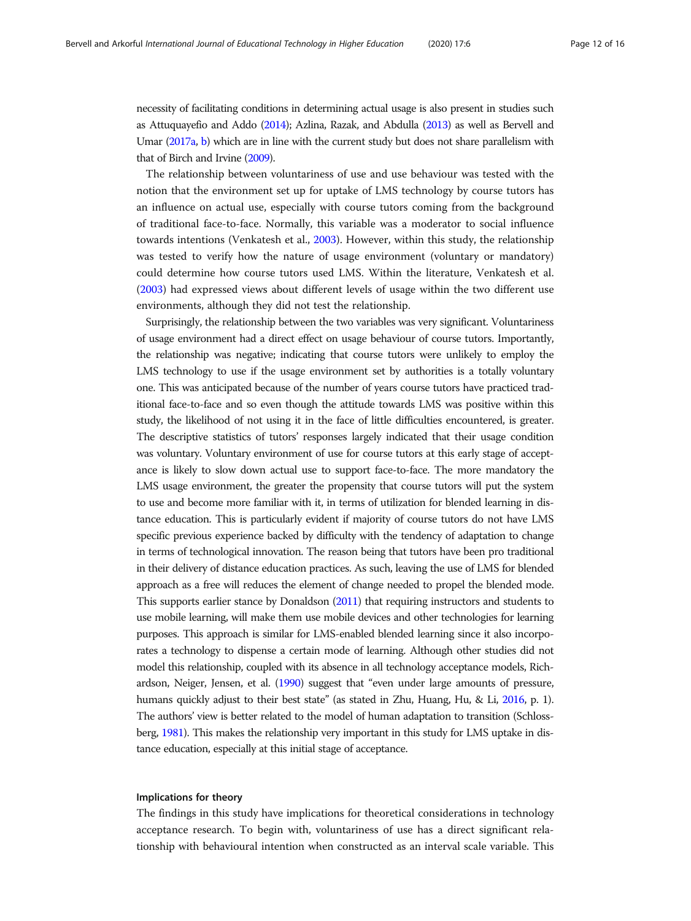necessity of facilitating conditions in determining actual usage is also present in studies such as Attuquayefio and Addo ([2014](#page-14-0)); Azlina, Razak, and Abdulla [\(2013](#page-14-0)) as well as Bervell and Umar [\(2017a,](#page-14-0) [b](#page-14-0)) which are in line with the current study but does not share parallelism with that of Birch and Irvine ([2009](#page-14-0)).

The relationship between voluntariness of use and use behaviour was tested with the notion that the environment set up for uptake of LMS technology by course tutors has an influence on actual use, especially with course tutors coming from the background of traditional face-to-face. Normally, this variable was a moderator to social influence towards intentions (Venkatesh et al., [2003\)](#page-15-0). However, within this study, the relationship was tested to verify how the nature of usage environment (voluntary or mandatory) could determine how course tutors used LMS. Within the literature, Venkatesh et al. ([2003](#page-15-0)) had expressed views about different levels of usage within the two different use environments, although they did not test the relationship.

Surprisingly, the relationship between the two variables was very significant. Voluntariness of usage environment had a direct effect on usage behaviour of course tutors. Importantly, the relationship was negative; indicating that course tutors were unlikely to employ the LMS technology to use if the usage environment set by authorities is a totally voluntary one. This was anticipated because of the number of years course tutors have practiced traditional face-to-face and so even though the attitude towards LMS was positive within this study, the likelihood of not using it in the face of little difficulties encountered, is greater. The descriptive statistics of tutors' responses largely indicated that their usage condition was voluntary. Voluntary environment of use for course tutors at this early stage of acceptance is likely to slow down actual use to support face-to-face. The more mandatory the LMS usage environment, the greater the propensity that course tutors will put the system to use and become more familiar with it, in terms of utilization for blended learning in distance education. This is particularly evident if majority of course tutors do not have LMS specific previous experience backed by difficulty with the tendency of adaptation to change in terms of technological innovation. The reason being that tutors have been pro traditional in their delivery of distance education practices. As such, leaving the use of LMS for blended approach as a free will reduces the element of change needed to propel the blended mode. This supports earlier stance by Donaldson ([2011\)](#page-14-0) that requiring instructors and students to use mobile learning, will make them use mobile devices and other technologies for learning purposes. This approach is similar for LMS-enabled blended learning since it also incorporates a technology to dispense a certain mode of learning. Although other studies did not model this relationship, coupled with its absence in all technology acceptance models, Richardson, Neiger, Jensen, et al. [\(1990](#page-15-0)) suggest that "even under large amounts of pressure, humans quickly adjust to their best state" (as stated in Zhu, Huang, Hu, & Li, [2016](#page-15-0), p. 1). The authors' view is better related to the model of human adaptation to transition (Schlossberg, [1981](#page-15-0)). This makes the relationship very important in this study for LMS uptake in distance education, especially at this initial stage of acceptance.

#### Implications for theory

The findings in this study have implications for theoretical considerations in technology acceptance research. To begin with, voluntariness of use has a direct significant relationship with behavioural intention when constructed as an interval scale variable. This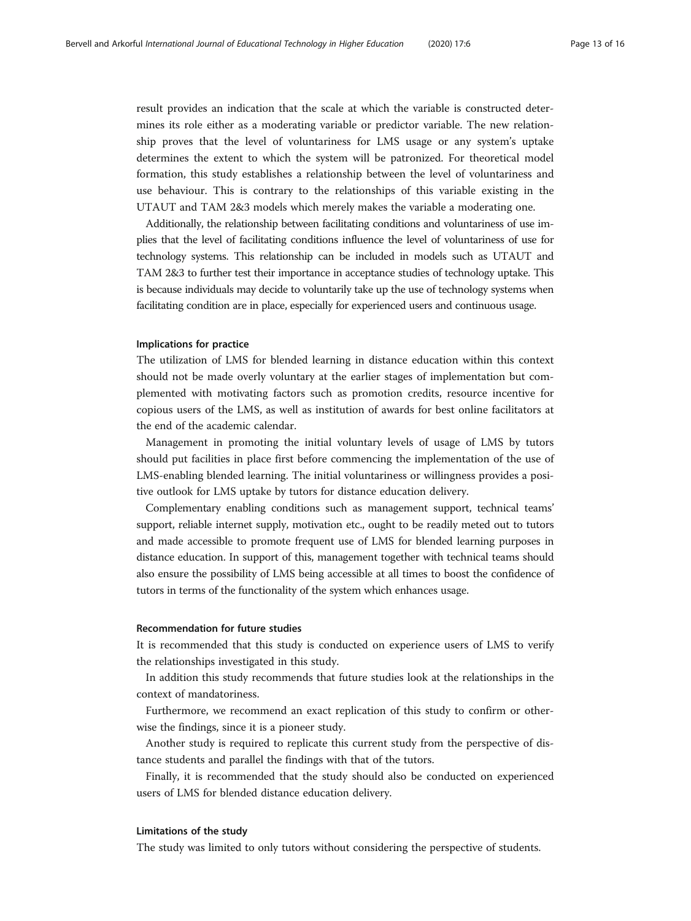result provides an indication that the scale at which the variable is constructed determines its role either as a moderating variable or predictor variable. The new relationship proves that the level of voluntariness for LMS usage or any system's uptake determines the extent to which the system will be patronized. For theoretical model formation, this study establishes a relationship between the level of voluntariness and use behaviour. This is contrary to the relationships of this variable existing in the UTAUT and TAM 2&3 models which merely makes the variable a moderating one.

Additionally, the relationship between facilitating conditions and voluntariness of use implies that the level of facilitating conditions influence the level of voluntariness of use for technology systems. This relationship can be included in models such as UTAUT and TAM 2&3 to further test their importance in acceptance studies of technology uptake. This is because individuals may decide to voluntarily take up the use of technology systems when facilitating condition are in place, especially for experienced users and continuous usage.

## Implications for practice

The utilization of LMS for blended learning in distance education within this context should not be made overly voluntary at the earlier stages of implementation but complemented with motivating factors such as promotion credits, resource incentive for copious users of the LMS, as well as institution of awards for best online facilitators at the end of the academic calendar.

Management in promoting the initial voluntary levels of usage of LMS by tutors should put facilities in place first before commencing the implementation of the use of LMS-enabling blended learning. The initial voluntariness or willingness provides a positive outlook for LMS uptake by tutors for distance education delivery.

Complementary enabling conditions such as management support, technical teams' support, reliable internet supply, motivation etc., ought to be readily meted out to tutors and made accessible to promote frequent use of LMS for blended learning purposes in distance education. In support of this, management together with technical teams should also ensure the possibility of LMS being accessible at all times to boost the confidence of tutors in terms of the functionality of the system which enhances usage.

### Recommendation for future studies

It is recommended that this study is conducted on experience users of LMS to verify the relationships investigated in this study.

In addition this study recommends that future studies look at the relationships in the context of mandatoriness.

Furthermore, we recommend an exact replication of this study to confirm or otherwise the findings, since it is a pioneer study.

Another study is required to replicate this current study from the perspective of distance students and parallel the findings with that of the tutors.

Finally, it is recommended that the study should also be conducted on experienced users of LMS for blended distance education delivery.

## Limitations of the study

The study was limited to only tutors without considering the perspective of students.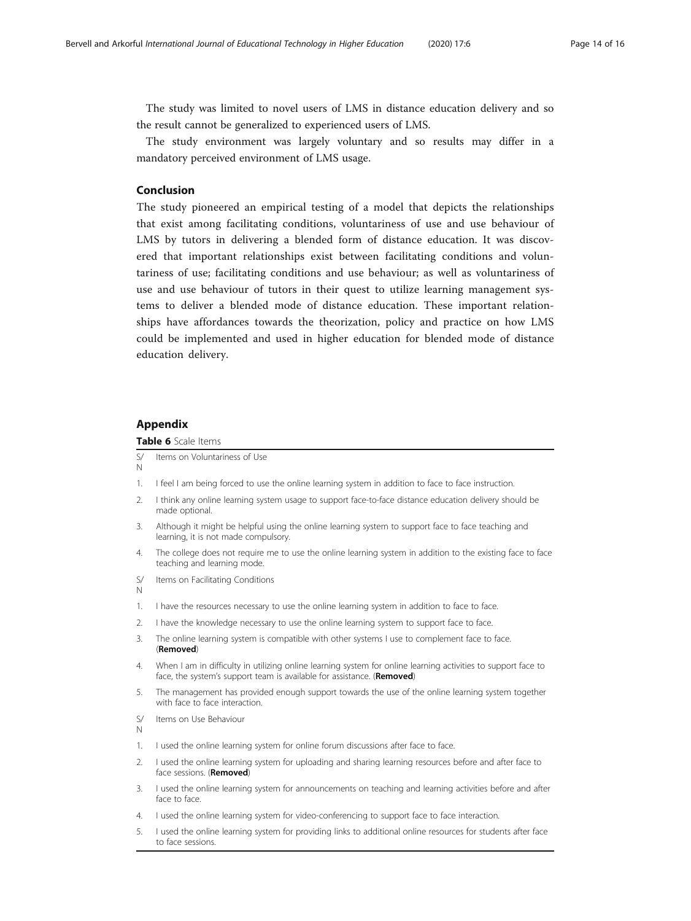<span id="page-13-0"></span>The study was limited to novel users of LMS in distance education delivery and so the result cannot be generalized to experienced users of LMS.

The study environment was largely voluntary and so results may differ in a mandatory perceived environment of LMS usage.

## Conclusion

The study pioneered an empirical testing of a model that depicts the relationships that exist among facilitating conditions, voluntariness of use and use behaviour of LMS by tutors in delivering a blended form of distance education. It was discovered that important relationships exist between facilitating conditions and voluntariness of use; facilitating conditions and use behaviour; as well as voluntariness of use and use behaviour of tutors in their quest to utilize learning management systems to deliver a blended mode of distance education. These important relationships have affordances towards the theorization, policy and practice on how LMS could be implemented and used in higher education for blended mode of distance education delivery.

## Appendix

## Table 6 Scale Items

 $\zeta/$ Items on Voluntariness of Use

N

N

- 1. I feel I am being forced to use the online learning system in addition to face to face instruction.
- 2. I think any online learning system usage to support face-to-face distance education delivery should be made optional.
- 3. Although it might be helpful using the online learning system to support face to face teaching and learning, it is not made compulsory.
- 4. The college does not require me to use the online learning system in addition to the existing face to face teaching and learning mode.
- $\zeta/$ Items on Facilitating Conditions
- 1. I have the resources necessary to use the online learning system in addition to face to face.
- 2. I have the knowledge necessary to use the online learning system to support face to face.
- 3. The online learning system is compatible with other systems I use to complement face to face. (Removed)
- 4. When I am in difficulty in utilizing online learning system for online learning activities to support face to face, the system's support team is available for assistance. (Removed)
- 5. The management has provided enough support towards the use of the online learning system together with face to face interaction.
- $\varsigma$ / Items on Use Behaviour

N

- 1. I used the online learning system for online forum discussions after face to face.
- 2. I used the online learning system for uploading and sharing learning resources before and after face to face sessions. (Removed)
- 3. I used the online learning system for announcements on teaching and learning activities before and after face to face.
- 4. I used the online learning system for video-conferencing to support face to face interaction.
- 5. I used the online learning system for providing links to additional online resources for students after face to face sessions.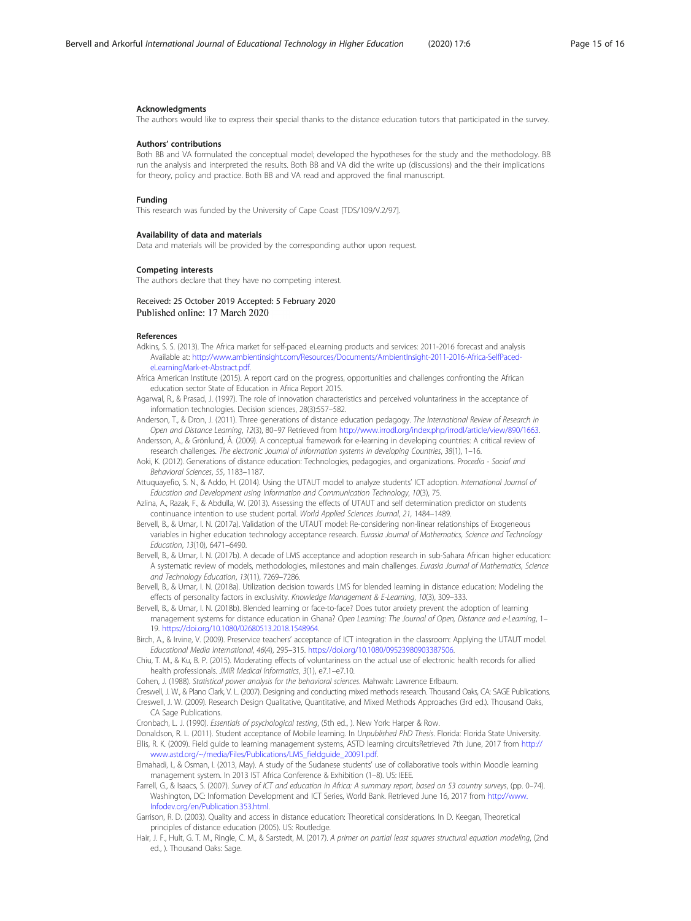#### <span id="page-14-0"></span>Acknowledgments

The authors would like to express their special thanks to the distance education tutors that participated in the survey.

#### Authors' contributions

Both BB and VA formulated the conceptual model; developed the hypotheses for the study and the methodology. BB run the analysis and interpreted the results. Both BB and VA did the write up (discussions) and the their implications for theory, policy and practice. Both BB and VA read and approved the final manuscript.

#### Funding

This research was funded by the University of Cape Coast [TDS/109/V.2/97].

#### Availability of data and materials

Data and materials will be provided by the corresponding author upon request.

#### Competing interests

The authors declare that they have no competing interest.

#### Received: 25 October 2019 Accepted: 5 February 2020 Published online: 17 March 2020

#### References

- Adkins, S. S. (2013). The Africa market for self-paced eLearning products and services: 2011-2016 forecast and analysis Available at: [http://www.ambientinsight.com/Resources/Documents/AmbientInsight-2011-2016-Africa-SelfPaced](http://www.ambientinsight.com/Resources/Documents/AmbientInsight-2011-2016-Africa-SelfPaced-eLearningMark-et-Abstract.pdf)[eLearningMark-et-Abstract.pdf](http://www.ambientinsight.com/Resources/Documents/AmbientInsight-2011-2016-Africa-SelfPaced-eLearningMark-et-Abstract.pdf).
- Africa American Institute (2015). A report card on the progress, opportunities and challenges confronting the African education sector State of Education in Africa Report 2015.
- Agarwal, R., & Prasad, J. (1997). The role of innovation characteristics and perceived voluntariness in the acceptance of information technologies. Decision sciences, 28(3):557–582.
- Anderson, T., & Dron, J. (2011). Three generations of distance education pedagogy. The International Review of Research in Open and Distance Learning, 12(3), 80–97 Retrieved from [http://www.irrodl.org/index.php/irrodl/article/view/890/1663.](http://www.irrodl.org/index.php/irrodl/article/view/890/1663)
- Andersson, A., & Grönlund, Å. (2009). A conceptual framework for e-learning in developing countries: A critical review of research challenges. The electronic Journal of information systems in developing Countries, 38(1), 1–16.
- Aoki, K. (2012). Generations of distance education: Technologies, pedagogies, and organizations. Procedia Social and Behavioral Sciences, 55, 1183–1187.
- Attuquayefio, S. N., & Addo, H. (2014). Using the UTAUT model to analyze students' ICT adoption. International Journal of Education and Development using Information and Communication Technology, 10(3), 75.
- Azlina, A., Razak, F., & Abdulla, W. (2013). Assessing the effects of UTAUT and self determination predictor on students continuance intention to use student portal. World Applied Sciences Journal, 21, 1484–1489.
- Bervell, B., & Umar, I. N. (2017a). Validation of the UTAUT model: Re-considering non-linear relationships of Exogeneous variables in higher education technology acceptance research. Eurasia Journal of Mathematics, Science and Technology Education, 13(10), 6471–6490.
- Bervell, B., & Umar, I. N. (2017b). A decade of LMS acceptance and adoption research in sub-Sahara African higher education: A systematic review of models, methodologies, milestones and main challenges. Eurasia Journal of Mathematics, Science and Technology Education, 13(11), 7269–7286.
- Bervell, B., & Umar, I. N. (2018a). Utilization decision towards LMS for blended learning in distance education: Modeling the effects of personality factors in exclusivity. Knowledge Management & E-Learning, 10(3), 309–333.
- Bervell, B., & Umar, I. N. (2018b). Blended learning or face-to-face? Does tutor anxiety prevent the adoption of learning management systems for distance education in Ghana? Open Learning: The Journal of Open, Distance and e-Learning, 1-19. <https://doi.org/10.1080/02680513.2018.1548964>.
- Birch, A., & Irvine, V. (2009). Preservice teachers' acceptance of ICT integration in the classroom: Applying the UTAUT model. Educational Media International, 46(4), 295–315. [https://doi.org/10.1080/09523980903387506.](https://doi.org/10.1080/09523980903387506)
- Chiu, T. M., & Ku, B. P. (2015). Moderating effects of voluntariness on the actual use of electronic health records for allied health professionals. JMIR Medical Informatics, 3(1), e7.1–e7.10.
- Cohen, J. (1988). Statistical power analysis for the behavioral sciences. Mahwah: Lawrence Erlbaum.
- Creswell, J. W., & Plano Clark, V. L. (2007). Designing and conducting mixed methods research. Thousand Oaks, CA: SAGE Publications. Creswell, J. W. (2009). Research Design Qualitative, Quantitative, and Mixed Methods Approaches (3rd ed.). Thousand Oaks, CA Sage Publications.
- Cronbach, L. J. (1990). Essentials of psychological testing, (5th ed., ). New York: Harper & Row.

Donaldson, R. L. (2011). Student acceptance of Mobile learning. In Unpublished PhD Thesis. Florida: Florida State University. Ellis, R. K. (2009). Field guide to learning management systems, ASTD learning circuitsRetrieved 7th June, 2017 from http:// www.astd.org/~/media/Files/Publications/LMS\_fieldguide\_20091.pdf.

- Elmahadi, I., & Osman, I. (2013, May). A study of the Sudanese students' use of collaborative tools within Moodle learning management system. In 2013 IST Africa Conference & Exhibition (1–8). US: IEEE.
- Farrell, G., & Isaacs, S. (2007). Survey of ICT and education in Africa: A summary report, based on 53 country surveys, (pp. 0–74). Washington, DC: Information Development and ICT Series, World Bank. Retrieved June 16, 2017 from [http://www.](http://www.infodev.org/en/Publication.353.html) [Infodev.org/en/Publication.353.html](http://www.infodev.org/en/Publication.353.html).
- Garrison, R. D. (2003). Quality and access in distance education: Theoretical considerations. In D. Keegan, Theoretical principles of distance education (2005). US: Routledge.
- Hair, J. F., Hult, G. T. M., Ringle, C. M., & Sarstedt, M. (2017). A primer on partial least squares structural equation modeling, (2nd ed., ). Thousand Oaks: Sage.